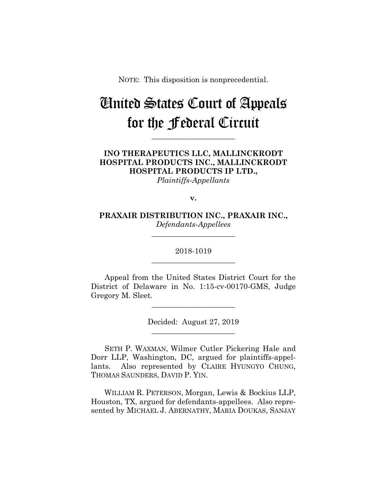NOTE: This disposition is nonprecedential.

# United States Court of Appeals for the Federal Circuit

**\_\_\_\_\_\_\_\_\_\_\_\_\_\_\_\_\_\_\_\_\_\_** 

**INO THERAPEUTICS LLC, MALLINCKRODT HOSPITAL PRODUCTS INC., MALLINCKRODT HOSPITAL PRODUCTS IP LTD.,**

*Plaintiffs-Appellants*

**v.**

**PRAXAIR DISTRIBUTION INC., PRAXAIR INC.,** *Defendants-Appellees*

**\_\_\_\_\_\_\_\_\_\_\_\_\_\_\_\_\_\_\_\_\_\_** 

## 2018-1019 **\_\_\_\_\_\_\_\_\_\_\_\_\_\_\_\_\_\_\_\_\_\_**

Appeal from the United States District Court for the District of Delaware in No. 1:15-cv-00170-GMS, Judge Gregory M. Sleet.

**\_\_\_\_\_\_\_\_\_\_\_\_\_\_\_\_\_\_\_\_\_\_** 

Decided: August 27, 2019 **\_\_\_\_\_\_\_\_\_\_\_\_\_\_\_\_\_\_\_\_\_\_** 

SETH P. WAXMAN, Wilmer Cutler Pickering Hale and Dorr LLP, Washington, DC, argued for plaintiffs-appellants. Also represented by CLAIRE HYUNGYO CHUNG, THOMAS SAUNDERS, DAVID P. YIN.

 WILLIAM R. PETERSON, Morgan, Lewis & Bockius LLP, Houston, TX, argued for defendants-appellees. Also represented by MICHAEL J. ABERNATHY, MARIA DOUKAS, SANJAY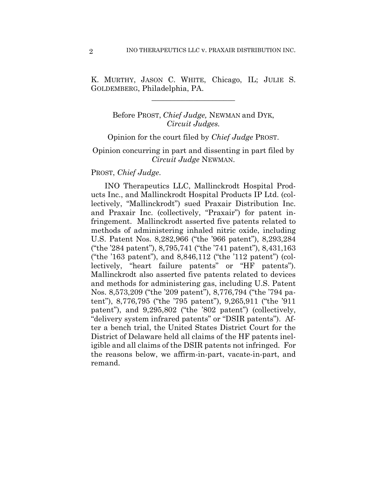K. MURTHY, JASON C. WHITE, Chicago, IL; JULIE S. GOLDEMBERG, Philadelphia, PA.

 $\overline{\phantom{a}}$  , where  $\overline{\phantom{a}}$  , where  $\overline{\phantom{a}}$  , where  $\overline{\phantom{a}}$ 

## Before PROST, *Chief Judge,* NEWMAN and DYK, *Circuit Judges.*

#### Opinion for the court filed by *Chief Judge* PROST.

### Opinion concurring in part and dissenting in part filed by *Circuit Judge* NEWMAN.

### PROST, *Chief Judge*.

INO Therapeutics LLC, Mallinckrodt Hospital Products Inc., and Mallinckrodt Hospital Products IP Ltd. (collectively, "Mallinckrodt") sued Praxair Distribution Inc. and Praxair Inc. (collectively, "Praxair") for patent infringement. Mallinckrodt asserted five patents related to methods of administering inhaled nitric oxide, including U.S. Patent Nos. 8,282,966 ("the '966 patent"), 8,293,284 ("the '284 patent"), 8,795,741 ("the '741 patent"), 8,431,163 ("the '163 patent"), and 8,846,112 ("the '112 patent") (collectively, "heart failure patents" or "HF patents"). Mallinckrodt also asserted five patents related to devices and methods for administering gas, including U.S. Patent Nos. 8,573,209 ("the '209 patent"), 8,776,794 ("the '794 patent"), 8,776,795 ("the '795 patent"), 9,265,911 ("the '911 patent"), and 9,295,802 ("the '802 patent") (collectively, "delivery system infrared patents" or "DSIR patents"). After a bench trial, the United States District Court for the District of Delaware held all claims of the HF patents ineligible and all claims of the DSIR patents not infringed. For the reasons below, we affirm-in-part, vacate-in-part, and remand.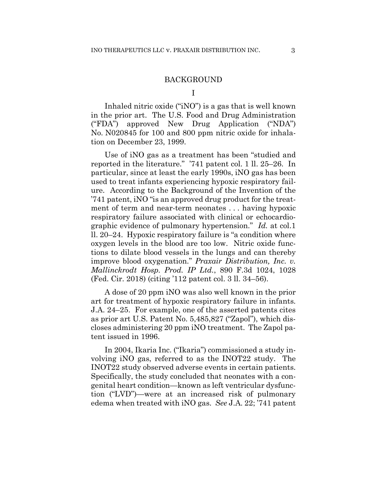#### BACKGROUND

I

 Inhaled nitric oxide ("iNO") is a gas that is well known in the prior art. The U.S. Food and Drug Administration ("FDA") approved New Drug Application ("NDA") No. N020845 for 100 and 800 ppm nitric oxide for inhalation on December 23, 1999.

Use of iNO gas as a treatment has been "studied and reported in the literature." '741 patent col. 1 ll. 25–26. In particular, since at least the early 1990s, iNO gas has been used to treat infants experiencing hypoxic respiratory failure. According to the Background of the Invention of the '741 patent, iNO "is an approved drug product for the treatment of term and near-term neonates . . . having hypoxic respiratory failure associated with clinical or echocardiographic evidence of pulmonary hypertension." *Id.* at col.1 ll. 20–24. Hypoxic respiratory failure is "a condition where oxygen levels in the blood are too low. Nitric oxide functions to dilate blood vessels in the lungs and can thereby improve blood oxygenation." *Praxair Distribution, Inc. v. Mallinckrodt Hosp. Prod. IP Ltd.*, 890 F.3d 1024, 1028 (Fed. Cir. 2018) (citing '112 patent col. 3 ll. 34–56).

A dose of 20 ppm iNO was also well known in the prior art for treatment of hypoxic respiratory failure in infants. J.A. 24–25. For example, one of the asserted patents cites as prior art U.S. Patent No. 5,485,827 ("Zapol"), which discloses administering 20 ppm iNO treatment. The Zapol patent issued in 1996.

In 2004, Ikaria Inc. ("Ikaria") commissioned a study involving iNO gas, referred to as the INOT22 study. The INOT22 study observed adverse events in certain patients. Specifically, the study concluded that neonates with a congenital heart condition—known as left ventricular dysfunction ("LVD")—were at an increased risk of pulmonary edema when treated with iNO gas. *See* J.A. 22; '741 patent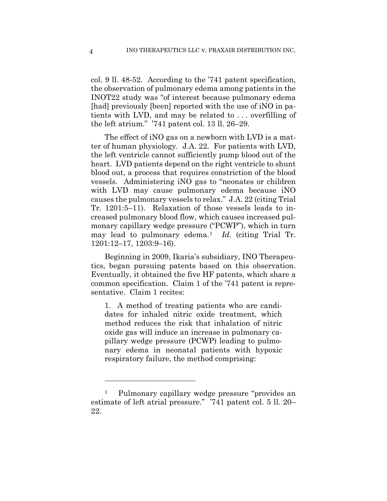col. 9 ll. 48-52. According to the '741 patent specification, the observation of pulmonary edema among patients in the INOT22 study was "of interest because pulmonary edema [had] previously [been] reported with the use of iNO in patients with LVD, and may be related to . . . overfilling of the left atrium." '741 patent col. 13 ll. 26–29.

The effect of iNO gas on a newborn with LVD is a matter of human physiology. J.A. 22. For patients with LVD, the left ventricle cannot sufficiently pump blood out of the heart. LVD patients depend on the right ventricle to shunt blood out, a process that requires constriction of the blood vessels. Administering iNO gas to "neonates or children with LVD may cause pulmonary edema because iNO causes the pulmonary vessels to relax." J.A. 22 (citing Trial Tr. 1201:5–11). Relaxation of those vessels leads to increased pulmonary blood flow, which causes increased pulmonary capillary wedge pressure ("PCWP"), which in turn may lead to pulmonary edema.1 *Id.* (citing Trial Tr. 1201:12–17, 1203:9–16).

Beginning in 2009, Ikaria's subsidiary, INO Therapeutics, began pursuing patents based on this observation. Eventually, it obtained the five HF patents, which share a common specification. Claim 1 of the '741 patent is representative. Claim 1 recites:

1. A method of treating patients who are candidates for inhaled nitric oxide treatment, which method reduces the risk that inhalation of nitric oxide gas will induce an increase in pulmonary capillary wedge pressure (PCWP) leading to pulmonary edema in neonatal patients with hypoxic respiratory failure, the method comprising:

1

<sup>1</sup> Pulmonary capillary wedge pressure "provides an estimate of left atrial pressure." '741 patent col. 5 ll. 20– 22.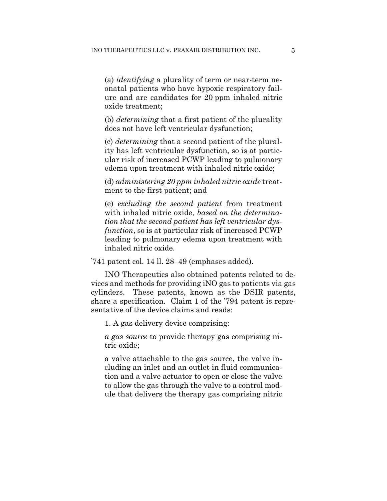(a) *identifying* a plurality of term or near-term neonatal patients who have hypoxic respiratory failure and are candidates for 20 ppm inhaled nitric oxide treatment;

(b) *determining* that a first patient of the plurality does not have left ventricular dysfunction;

(c) *determining* that a second patient of the plurality has left ventricular dysfunction, so is at particular risk of increased PCWP leading to pulmonary edema upon treatment with inhaled nitric oxide;

(d) *administering 20 ppm inhaled nitric oxide* treatment to the first patient; and

(e) *excluding the second patient* from treatment with inhaled nitric oxide, *based on the determination that the second patient has left ventricular dysfunction*, so is at particular risk of increased PCWP leading to pulmonary edema upon treatment with inhaled nitric oxide.

'741 patent col. 14 ll. 28–49 (emphases added).

INO Therapeutics also obtained patents related to devices and methods for providing iNO gas to patients via gas cylinders. These patents, known as the DSIR patents, share a specification. Claim 1 of the '794 patent is representative of the device claims and reads:

1. A gas delivery device comprising:

*a gas source* to provide therapy gas comprising nitric oxide;

a valve attachable to the gas source, the valve including an inlet and an outlet in fluid communication and a valve actuator to open or close the valve to allow the gas through the valve to a control module that delivers the therapy gas comprising nitric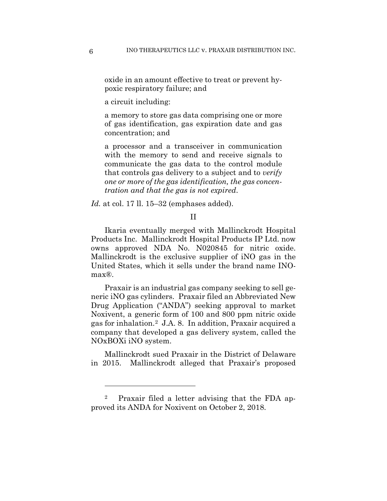oxide in an amount effective to treat or prevent hypoxic respiratory failure; and

a circuit including:

a memory to store gas data comprising one or more of gas identification, gas expiration date and gas concentration; and

a processor and a transceiver in communication with the memory to send and receive signals to communicate the gas data to the control module that controls gas delivery to a subject and to *verify one or more of the gas identification, the gas concentration and that the gas is not expired*.

*Id.* at col. 17 ll. 15–32 (emphases added).

#### II

Ikaria eventually merged with Mallinckrodt Hospital Products Inc. Mallinckrodt Hospital Products IP Ltd. now owns approved NDA No. N020845 for nitric oxide. Mallinckrodt is the exclusive supplier of iNO gas in the United States, which it sells under the brand name INOmax®.

Praxair is an industrial gas company seeking to sell generic iNO gas cylinders. Praxair filed an Abbreviated New Drug Application ("ANDA") seeking approval to market Noxivent, a generic form of 100 and 800 ppm nitric oxide gas for inhalation.2 J.A. 8. In addition, Praxair acquired a company that developed a gas delivery system, called the NOxBOXi iNO system.

Mallinckrodt sued Praxair in the District of Delaware in 2015. Mallinckrodt alleged that Praxair's proposed

1

Praxair filed a letter advising that the FDA approved its ANDA for Noxivent on October 2, 2018.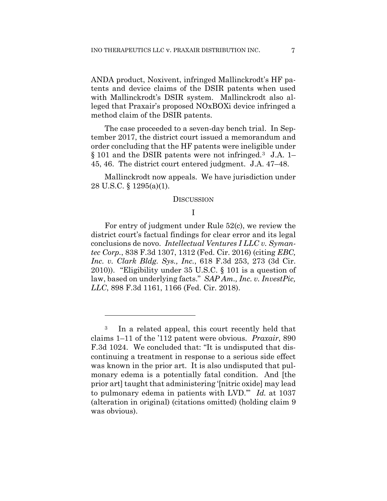ANDA product, Noxivent, infringed Mallinckrodt's HF patents and device claims of the DSIR patents when used with Mallinckrodt's DSIR system. Mallinckrodt also alleged that Praxair's proposed NOxBOXi device infringed a method claim of the DSIR patents.

The case proceeded to a seven-day bench trial. In September 2017, the district court issued a memorandum and order concluding that the HF patents were ineligible under § 101 and the DSIR patents were not infringed.3 J.A. 1– 45, 46. The district court entered judgment. J.A. 47–48.

Mallinckrodt now appeals. We have jurisdiction under 28 U.S.C. § 1295(a)(1).

#### **DISCUSSION**

## I

For entry of judgment under Rule 52(c), we review the district court's factual findings for clear error and its legal conclusions de novo. *Intellectual Ventures I LLC v. Symantec Corp.*, 838 F.3d 1307, 1312 (Fed. Cir. 2016) (citing *EBC, Inc. v. Clark Bldg. Sys., Inc.*, 618 F.3d 253, 273 (3d Cir. 2010)). "Eligibility under 35 U.S.C. § 101 is a question of law, based on underlying facts." *SAP Am., Inc. v. InvestPic, LLC*, 898 F.3d 1161, 1166 (Fed. Cir. 2018).

<u>.</u>

<sup>3</sup> In a related appeal, this court recently held that claims 1–11 of the '112 patent were obvious. *Praxair*, 890 F.3d 1024. We concluded that: "It is undisputed that discontinuing a treatment in response to a serious side effect was known in the prior art. It is also undisputed that pulmonary edema is a potentially fatal condition. And [the prior art] taught that administering '[nitric oxide] may lead to pulmonary edema in patients with LVD.'" *Id.* at 1037 (alteration in original) (citations omitted) (holding claim 9 was obvious).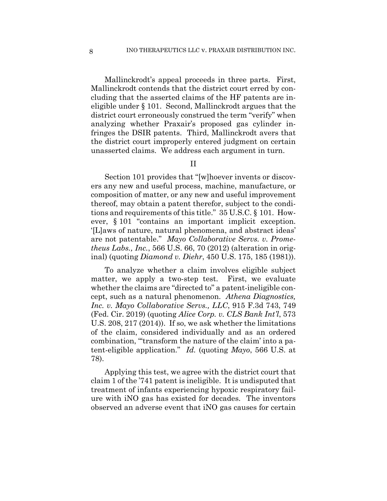Mallinckrodt's appeal proceeds in three parts. First, Mallinckrodt contends that the district court erred by concluding that the asserted claims of the HF patents are ineligible under § 101. Second, Mallinckrodt argues that the district court erroneously construed the term "verify" when analyzing whether Praxair's proposed gas cylinder infringes the DSIR patents. Third, Mallinckrodt avers that the district court improperly entered judgment on certain unasserted claims. We address each argument in turn.

## II

Section 101 provides that "[w]hoever invents or discovers any new and useful process, machine, manufacture, or composition of matter, or any new and useful improvement thereof, may obtain a patent therefor, subject to the conditions and requirements of this title." 35 U.S.C. § 101. However, § 101 "contains an important implicit exception. '[L]aws of nature, natural phenomena, and abstract ideas' are not patentable." *Mayo Collaborative Servs. v. Prometheus Labs., Inc.*, 566 U.S. 66, 70 (2012) (alteration in original) (quoting *Diamond v. Diehr*, 450 U.S. 175, 185 (1981)).

To analyze whether a claim involves eligible subject matter, we apply a two-step test. First, we evaluate whether the claims are "directed to" a patent-ineligible concept, such as a natural phenomenon. *Athena Diagnostics, Inc. v. Mayo Collaborative Servs., LLC*, 915 F.3d 743, 749 (Fed. Cir. 2019) (quoting *Alice Corp. v. CLS Bank Int'l*, 573 U.S. 208, 217 (2014)). If so, we ask whether the limitations of the claim, considered individually and as an ordered combination, "'transform the nature of the claim' into a patent-eligible application." *Id.* (quoting *Mayo*, 566 U.S. at 78).

Applying this test, we agree with the district court that claim 1 of the '741 patent is ineligible. It is undisputed that treatment of infants experiencing hypoxic respiratory failure with iNO gas has existed for decades. The inventors observed an adverse event that iNO gas causes for certain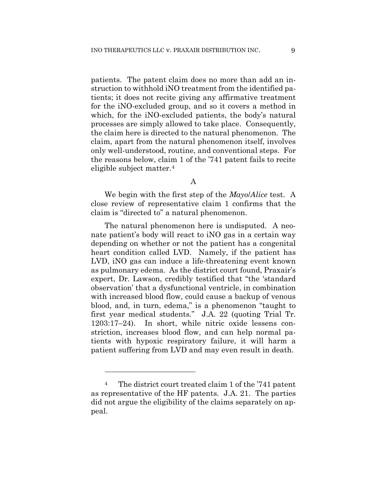patients. The patent claim does no more than add an instruction to withhold iNO treatment from the identified patients; it does not recite giving any affirmative treatment for the iNO-excluded group, and so it covers a method in which, for the iNO-excluded patients, the body's natural processes are simply allowed to take place. Consequently, the claim here is directed to the natural phenomenon. The claim, apart from the natural phenomenon itself, involves only well-understood, routine, and conventional steps. For the reasons below, claim 1 of the '741 patent fails to recite eligible subject matter.4

#### A

We begin with the first step of the *Mayo*/*Alice* test. A close review of representative claim 1 confirms that the claim is "directed to" a natural phenomenon.

The natural phenomenon here is undisputed. A neonate patient's body will react to iNO gas in a certain way depending on whether or not the patient has a congenital heart condition called LVD. Namely, if the patient has LVD, iNO gas can induce a life-threatening event known as pulmonary edema. As the district court found, Praxair's expert, Dr. Lawson, credibly testified that "the 'standard observation' that a dysfunctional ventricle, in combination with increased blood flow, could cause a backup of venous blood, and, in turn, edema," is a phenomenon "taught to first year medical students." J.A. 22 (quoting Trial Tr. 1203:17–24). In short, while nitric oxide lessens constriction, increases blood flow, and can help normal patients with hypoxic respiratory failure, it will harm a patient suffering from LVD and may even result in death.

<u>.</u>

<sup>4</sup> The district court treated claim 1 of the '741 patent as representative of the HF patents. J.A. 21. The parties did not argue the eligibility of the claims separately on appeal.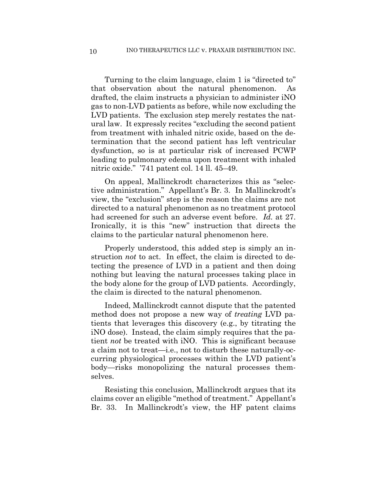Turning to the claim language, claim 1 is "directed to" that observation about the natural phenomenon. As drafted, the claim instructs a physician to administer iNO gas to non-LVD patients as before, while now excluding the LVD patients. The exclusion step merely restates the natural law. It expressly recites "excluding the second patient from treatment with inhaled nitric oxide, based on the determination that the second patient has left ventricular dysfunction, so is at particular risk of increased PCWP leading to pulmonary edema upon treatment with inhaled nitric oxide." '741 patent col. 14 ll. 45–49.

On appeal, Mallinckrodt characterizes this as "selective administration." Appellant's Br. 3. In Mallinckrodt's view, the "exclusion" step is the reason the claims are not directed to a natural phenomenon as no treatment protocol had screened for such an adverse event before. *Id.* at 27. Ironically, it is this "new" instruction that directs the claims to the particular natural phenomenon here.

Properly understood, this added step is simply an instruction *not* to act. In effect, the claim is directed to detecting the presence of LVD in a patient and then doing nothing but leaving the natural processes taking place in the body alone for the group of LVD patients. Accordingly, the claim is directed to the natural phenomenon.

Indeed, Mallinckrodt cannot dispute that the patented method does not propose a new way of *treating* LVD patients that leverages this discovery (e.g., by titrating the iNO dose). Instead, the claim simply requires that the patient *not* be treated with iNO. This is significant because a claim not to treat—i.e., not to disturb these naturally-occurring physiological processes within the LVD patient's body—risks monopolizing the natural processes themselves.

Resisting this conclusion, Mallinckrodt argues that its claims cover an eligible "method of treatment." Appellant's Br. 33. In Mallinckrodt's view, the HF patent claims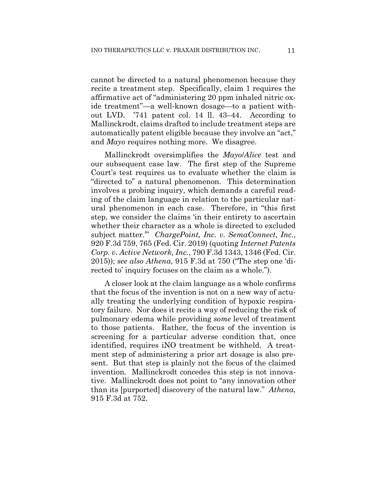cannot be directed to a natural phenomenon because they recite a treatment step. Specifically, claim 1 requires the affirmative act of "administering 20 ppm inhaled nitric oxide treatment"—a well-known dosage—to a patient without LVD. '741 patent col. 14 ll. 43–44. According to Mallinckrodt, claims drafted to include treatment steps are automatically patent eligible because they involve an "act," and *Mayo* requires nothing more. We disagree.

Mallinckrodt oversimplifies the *Mayo*/*Alice* test and our subsequent case law. The first step of the Supreme Court's test requires us to evaluate whether the claim is "directed to" a natural phenomenon. This determination involves a probing inquiry, which demands a careful reading of the claim language in relation to the particular natural phenomenon in each case. Therefore, in "this first step, we consider the claims 'in their entirety to ascertain whether their character as a whole is directed to excluded subject matter.'" *ChargePoint, Inc. v. SemaConnect, Inc.*, 920 F.3d 759, 765 (Fed. Cir. 2019) (quoting *Internet Patents Corp. v. Active Network, Inc.*, 790 F.3d 1343, 1346 (Fed. Cir. 2015)); *see also Athena*, 915 F.3d at 750 ("The step one 'directed to' inquiry focuses on the claim as a whole.").

A closer look at the claim language as a whole confirms that the focus of the invention is not on a new way of actually treating the underlying condition of hypoxic respiratory failure. Nor does it recite a way of reducing the risk of pulmonary edema while providing *some* level of treatment to those patients. Rather, the focus of the invention is screening for a particular adverse condition that, once identified, requires iNO treatment be withheld. A treatment step of administering a prior art dosage is also present. But that step is plainly not the focus of the claimed invention. Mallinckrodt concedes this step is not innovative. Mallinckrodt does not point to "any innovation other than its [purported] discovery of the natural law." *Athena*, 915 F.3d at 752.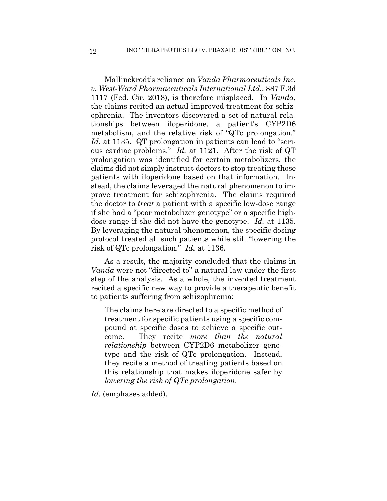Mallinckrodt's reliance on *Vanda Pharmaceuticals Inc. v. West-Ward Pharmaceuticals International Ltd.*, 887 F.3d 1117 (Fed. Cir. 2018), is therefore misplaced. In *Vanda*, the claims recited an actual improved treatment for schizophrenia. The inventors discovered a set of natural relationships between iloperidone, a patient's CYP2D6 metabolism, and the relative risk of "QTc prolongation." *Id.* at 1135. QT prolongation in patients can lead to "serious cardiac problems." *Id.* at 1121. After the risk of QT prolongation was identified for certain metabolizers, the claims did not simply instruct doctors to stop treating those patients with iloperidone based on that information. Instead, the claims leveraged the natural phenomenon to improve treatment for schizophrenia. The claims required the doctor to *treat* a patient with a specific low-dose range if she had a "poor metabolizer genotype" or a specific highdose range if she did not have the genotype. *Id.* at 1135. By leveraging the natural phenomenon, the specific dosing protocol treated all such patients while still "lowering the risk of QTc prolongation." *Id.* at 1136.

As a result, the majority concluded that the claims in *Vanda* were not "directed to" a natural law under the first step of the analysis. As a whole, the invented treatment recited a specific new way to provide a therapeutic benefit to patients suffering from schizophrenia:

The claims here are directed to a specific method of treatment for specific patients using a specific compound at specific doses to achieve a specific outcome. They recite *more than the natural relationship* between CYP2D6 metabolizer genotype and the risk of QTc prolongation. Instead, they recite a method of treating patients based on this relationship that makes iloperidone safer by *lowering the risk of QTc prolongation*.

*Id.* (emphases added).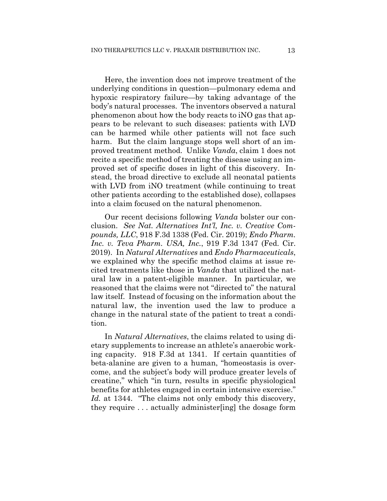Here, the invention does not improve treatment of the underlying conditions in question—pulmonary edema and hypoxic respiratory failure—by taking advantage of the body's natural processes. The inventors observed a natural phenomenon about how the body reacts to iNO gas that appears to be relevant to such diseases: patients with LVD can be harmed while other patients will not face such harm. But the claim language stops well short of an improved treatment method. Unlike *Vanda*, claim 1 does not recite a specific method of treating the disease using an improved set of specific doses in light of this discovery. Instead, the broad directive to exclude all neonatal patients with LVD from iNO treatment (while continuing to treat other patients according to the established dose), collapses into a claim focused on the natural phenomenon.

Our recent decisions following *Vanda* bolster our conclusion. *See Nat. Alternatives Int'l, Inc. v. Creative Compounds, LLC*, 918 F.3d 1338 (Fed. Cir. 2019); *Endo Pharm. Inc. v. Teva Pharm. USA, Inc.*, 919 F.3d 1347 (Fed. Cir. 2019). In *Natural Alternatives* and *Endo Pharmaceuticals*, we explained why the specific method claims at issue recited treatments like those in *Vanda* that utilized the natural law in a patent-eligible manner. In particular, we reasoned that the claims were not "directed to" the natural law itself. Instead of focusing on the information about the natural law, the invention used the law to produce a change in the natural state of the patient to treat a condition.

In *Natural Alternatives*, the claims related to using dietary supplements to increase an athlete's anaerobic working capacity. 918 F.3d at 1341. If certain quantities of beta-alanine are given to a human, "homeostasis is overcome, and the subject's body will produce greater levels of creatine," which "in turn, results in specific physiological benefits for athletes engaged in certain intensive exercise." *Id.* at 1344. "The claims not only embody this discovery, they require . . . actually administer[ing] the dosage form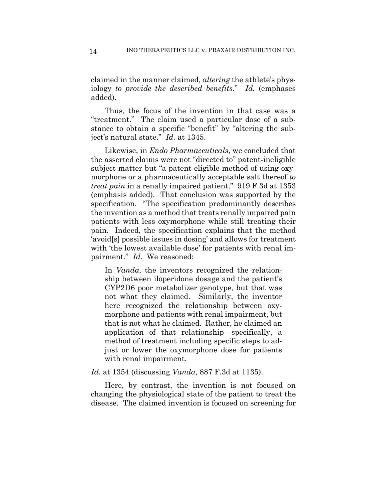claimed in the manner claimed, *altering* the athlete's physiology *to provide the described benefits*." *Id.* (emphases added).

Thus, the focus of the invention in that case was a "treatment." The claim used a particular dose of a substance to obtain a specific "benefit" by "altering the subject's natural state." *Id.* at 1345.

Likewise, in *Endo Pharmaceuticals*, we concluded that the asserted claims were not "directed to" patent-ineligible subject matter but "a patent-eligible method of using oxymorphone or a pharmaceutically acceptable salt thereof *to treat pain* in a renally impaired patient." 919 F.3d at 1353 (emphasis added). That conclusion was supported by the specification. "The specification predominantly describes the invention as a method that treats renally impaired pain patients with less oxymorphone while still treating their pain. Indeed, the specification explains that the method 'avoid[s] possible issues in dosing' and allows for treatment with 'the lowest available dose' for patients with renal impairment." *Id*. We reasoned:

In *Vanda*, the inventors recognized the relationship between iloperidone dosage and the patient's CYP2D6 poor metabolizer genotype, but that was not what they claimed. Similarly, the inventor here recognized the relationship between oxymorphone and patients with renal impairment, but that is not what he claimed. Rather, he claimed an application of that relationship—specifically, a method of treatment including specific steps to adjust or lower the oxymorphone dose for patients with renal impairment.

*Id.* at 1354 (discussing *Vanda*, 887 F.3d at 1135).

Here, by contrast, the invention is not focused on changing the physiological state of the patient to treat the disease. The claimed invention is focused on screening for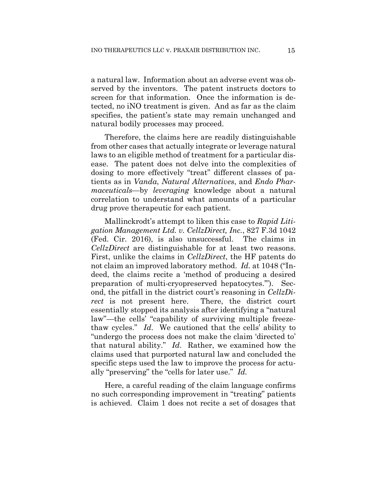a natural law. Information about an adverse event was observed by the inventors. The patent instructs doctors to screen for that information. Once the information is detected, no iNO treatment is given. And as far as the claim specifies, the patient's state may remain unchanged and natural bodily processes may proceed.

Therefore, the claims here are readily distinguishable from other cases that actually integrate or leverage natural laws to an eligible method of treatment for a particular disease. The patent does not delve into the complexities of dosing to more effectively "treat" different classes of patients as in *Vanda*, *Natural Alternatives*, and *Endo Pharmaceuticals*—by *leveraging* knowledge about a natural correlation to understand what amounts of a particular drug prove therapeutic for each patient.

Mallinckrodt's attempt to liken this case to *Rapid Litigation Management Ltd. v. CellzDirect, Inc.*, 827 F.3d 1042 (Fed. Cir. 2016), is also unsuccessful. The claims in *CellzDirect* are distinguishable for at least two reasons. First, unlike the claims in *CellzDirect*, the HF patents do not claim an improved laboratory method. *Id.* at 1048 ("Indeed, the claims recite a 'method of producing a desired preparation of multi-cryopreserved hepatocytes.'"). Second, the pitfall in the district court's reasoning in *CellzDirect* is not present here. There, the district court essentially stopped its analysis after identifying a "natural law"—the cells' "capability of surviving multiple freezethaw cycles." *Id*.We cautioned that the cells' ability to "undergo the process does not make the claim 'directed to' that natural ability." *Id*. Rather, we examined how the claims used that purported natural law and concluded the specific steps used the law to improve the process for actually "preserving" the "cells for later use." *Id.*

Here, a careful reading of the claim language confirms no such corresponding improvement in "treating" patients is achieved. Claim 1 does not recite a set of dosages that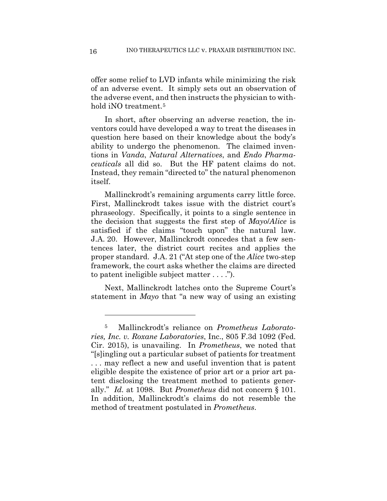offer some relief to LVD infants while minimizing the risk of an adverse event. It simply sets out an observation of the adverse event, and then instructs the physician to withhold iNO treatment.<sup>5</sup>

In short, after observing an adverse reaction, the inventors could have developed a way to treat the diseases in question here based on their knowledge about the body's ability to undergo the phenomenon. The claimed inventions in *Vanda*, *Natural Alternatives*, and *Endo Pharmaceuticals* all did so. But the HF patent claims do not. Instead, they remain "directed to" the natural phenomenon itself.

Mallinckrodt's remaining arguments carry little force. First, Mallinckrodt takes issue with the district court's phraseology. Specifically, it points to a single sentence in the decision that suggests the first step of *Mayo*/*Alice* is satisfied if the claims "touch upon" the natural law. J.A. 20. However, Mallinckrodt concedes that a few sentences later, the district court recites and applies the proper standard. J.A. 21 ("At step one of the *Alice* two-step framework, the court asks whether the claims are directed to patent ineligible subject matter . . . .").

Next, Mallinckrodt latches onto the Supreme Court's statement in *Mayo* that "a new way of using an existing

<u>.</u>

<sup>5</sup> Mallinckrodt's reliance on *Prometheus Laboratories, Inc. v. Roxane Laboratories*, Inc., 805 F.3d 1092 (Fed. Cir. 2015), is unavailing. In *Prometheus*, we noted that "[s]ingling out a particular subset of patients for treatment . . . may reflect a new and useful invention that is patent eligible despite the existence of prior art or a prior art patent disclosing the treatment method to patients generally." *Id.* at 1098. But *Prometheus* did not concern § 101. In addition, Mallinckrodt's claims do not resemble the method of treatment postulated in *Prometheus*.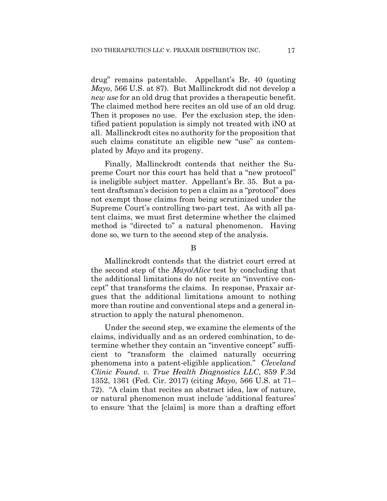drug" remains patentable. Appellant's Br. 40 (quoting *Mayo*, 566 U.S. at 87). But Mallinckrodt did not develop a *new use* for an old drug that provides a therapeutic benefit. The claimed method here recites an old use of an old drug. Then it proposes no use. Per the exclusion step, the identified patient population is simply not treated with iNO at all. Mallinckrodt cites no authority for the proposition that such claims constitute an eligible new "use" as contemplated by *Mayo* and its progeny.

Finally, Mallinckrodt contends that neither the Supreme Court nor this court has held that a "new protocol" is ineligible subject matter. Appellant's Br. 35. But a patent draftsman's decision to pen a claim as a "protocol" does not exempt those claims from being scrutinized under the Supreme Court's controlling two-part test. As with all patent claims, we must first determine whether the claimed method is "directed to" a natural phenomenon. Having done so, we turn to the second step of the analysis.

#### B

Mallinckrodt contends that the district court erred at the second step of the *Mayo*/*Alice* test by concluding that the additional limitations do not recite an "inventive concept" that transforms the claims. In response, Praxair argues that the additional limitations amount to nothing more than routine and conventional steps and a general instruction to apply the natural phenomenon.

Under the second step, we examine the elements of the claims, individually and as an ordered combination, to determine whether they contain an "inventive concept" sufficient to "transform the claimed naturally occurring phenomena into a patent-eligible application." *Cleveland Clinic Found. v. True Health Diagnostics LLC*, 859 F.3d 1352, 1361 (Fed. Cir. 2017) (citing *Mayo*, 566 U.S. at 71– 72). "A claim that recites an abstract idea, law of nature, or natural phenomenon must include 'additional features' to ensure 'that the [claim] is more than a drafting effort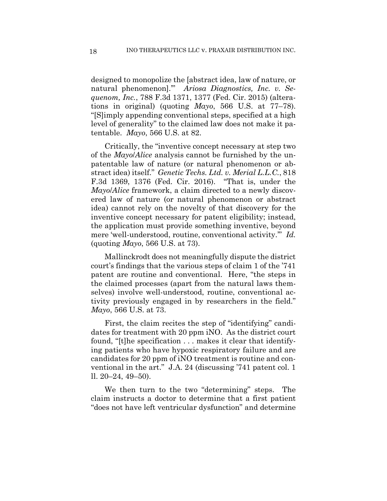designed to monopolize the [abstract idea, law of nature, or natural phenomenon].'" *Ariosa Diagnostics, Inc. v. Sequenom, Inc.*, 788 F.3d 1371, 1377 (Fed. Cir. 2015) (alterations in original) (quoting *Mayo*, 566 U.S. at 77–78). "[S]imply appending conventional steps, specified at a high level of generality" to the claimed law does not make it patentable. *Mayo*, 566 U.S. at 82.

Critically, the "inventive concept necessary at step two of the *Mayo*/*Alice* analysis cannot be furnished by the unpatentable law of nature (or natural phenomenon or abstract idea) itself." *Genetic Techs. Ltd. v. Merial L.L.C.*, 818 F.3d 1369, 1376 (Fed. Cir. 2016). "That is, under the *Mayo*/*Alice* framework, a claim directed to a newly discovered law of nature (or natural phenomenon or abstract idea) cannot rely on the novelty of that discovery for the inventive concept necessary for patent eligibility; instead, the application must provide something inventive, beyond mere 'well-understood, routine, conventional activity.'" *Id.* (quoting *Mayo*, 566 U.S. at 73).

Mallinckrodt does not meaningfully dispute the district court's findings that the various steps of claim 1 of the '741 patent are routine and conventional. Here, "the steps in the claimed processes (apart from the natural laws themselves) involve well-understood, routine, conventional activity previously engaged in by researchers in the field." *Mayo*, 566 U.S. at 73.

First, the claim recites the step of "identifying" candidates for treatment with 20 ppm iNO. As the district court found, "[t]he specification . . . makes it clear that identifying patients who have hypoxic respiratory failure and are candidates for 20 ppm of iNO treatment is routine and conventional in the art." J.A. 24 (discussing '741 patent col. 1 ll. 20–24, 49–50).

We then turn to the two "determining" steps. The claim instructs a doctor to determine that a first patient "does not have left ventricular dysfunction" and determine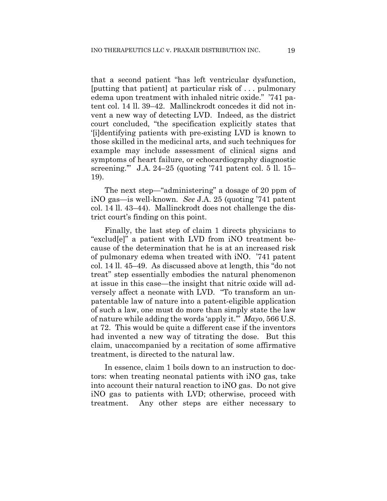that a second patient "has left ventricular dysfunction, [putting that patient] at particular risk of . . . pulmonary edema upon treatment with inhaled nitric oxide." '741 patent col. 14 ll. 39–42. Mallinckrodt concedes it did not invent a new way of detecting LVD. Indeed, as the district court concluded, "the specification explicitly states that '[i]dentifying patients with pre-existing LVD is known to those skilled in the medicinal arts, and such techniques for example may include assessment of clinical signs and symptoms of heart failure, or echocardiography diagnostic screening.'" J.A. 24–25 (quoting '741 patent col. 5 ll. 15– 19).

The next step—"administering" a dosage of 20 ppm of iNO gas—is well-known. *See* J.A. 25 (quoting '741 patent col. 14 ll. 43–44). Mallinckrodt does not challenge the district court's finding on this point.

Finally, the last step of claim 1 directs physicians to "exclud[e]" a patient with LVD from iNO treatment because of the determination that he is at an increased risk of pulmonary edema when treated with iNO. '741 patent col. 14 ll. 45–49. As discussed above at length, this "do not treat" step essentially embodies the natural phenomenon at issue in this case—the insight that nitric oxide will adversely affect a neonate with LVD. "To transform an unpatentable law of nature into a patent-eligible application of such a law, one must do more than simply state the law of nature while adding the words 'apply it.'" *Mayo*, 566 U.S. at 72. This would be quite a different case if the inventors had invented a new way of titrating the dose. But this claim, unaccompanied by a recitation of some affirmative treatment, is directed to the natural law.

In essence, claim 1 boils down to an instruction to doctors: when treating neonatal patients with iNO gas, take into account their natural reaction to iNO gas. Do not give iNO gas to patients with LVD; otherwise, proceed with treatment. Any other steps are either necessary to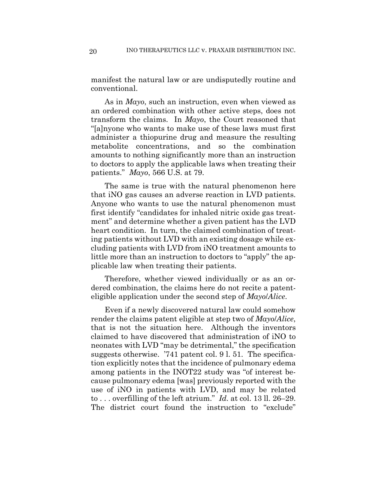manifest the natural law or are undisputedly routine and conventional.

As in *Mayo*, such an instruction, even when viewed as an ordered combination with other active steps, does not transform the claims. In *Mayo*, the Court reasoned that "[a]nyone who wants to make use of these laws must first administer a thiopurine drug and measure the resulting metabolite concentrations, and so the combination amounts to nothing significantly more than an instruction to doctors to apply the applicable laws when treating their patients." *Mayo*, 566 U.S. at 79.

The same is true with the natural phenomenon here that iNO gas causes an adverse reaction in LVD patients. Anyone who wants to use the natural phenomenon must first identify "candidates for inhaled nitric oxide gas treatment" and determine whether a given patient has the LVD heart condition. In turn, the claimed combination of treating patients without LVD with an existing dosage while excluding patients with LVD from iNO treatment amounts to little more than an instruction to doctors to "apply" the applicable law when treating their patients.

Therefore, whether viewed individually or as an ordered combination, the claims here do not recite a patenteligible application under the second step of *Mayo*/*Alice*.

Even if a newly discovered natural law could somehow render the claims patent eligible at step two of *Mayo*/*Alice*, that is not the situation here. Although the inventors claimed to have discovered that administration of iNO to neonates with LVD "may be detrimental," the specification suggests otherwise. '741 patent col. 9 l. 51. The specification explicitly notes that the incidence of pulmonary edema among patients in the INOT22 study was "of interest because pulmonary edema [was] previously reported with the use of iNO in patients with LVD, and may be related to . . . overfilling of the left atrium." *Id.* at col. 13 ll. 26–29. The district court found the instruction to "exclude"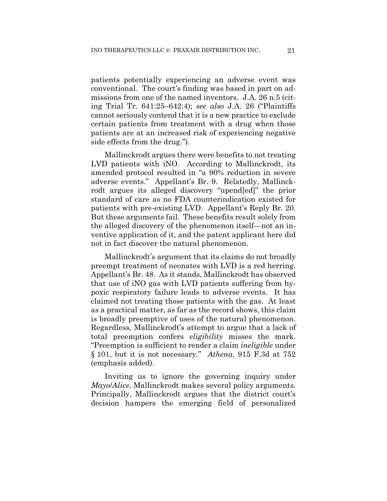patients potentially experiencing an adverse event was conventional. The court's finding was based in part on admissions from one of the named inventors. J.A. 26 n.5 (citing Trial Tr. 641:25–642:4); *see also* J.A. 26 ("Plaintiffs cannot seriously contend that it is a new practice to exclude certain patients from treatment with a drug when those patients are at an increased risk of experiencing negative side effects from the drug.").

Mallinckrodt argues there were benefits to not treating LVD patients with iNO. According to Mallinckrodt, its amended protocol resulted in "a 90% reduction in severe adverse events." Appellant's Br. 9. Relatedly, Mallinckrodt argues its alleged discovery "upend[ed]" the prior standard of care as no FDA counterindication existed for patients with pre-existing LVD. Appellant's Reply Br. 20. But these arguments fail. These benefits result solely from the alleged discovery of the phenomenon itself—not an inventive application of it, and the patent applicant here did not in fact discover the natural phenomenon.

Mallinckrodt's argument that its claims do not broadly preempt treatment of neonates with LVD is a red herring. Appellant's Br. 48. As it stands, Mallinckrodt has observed that use of iNO gas with LVD patients suffering from hypoxic respiratory failure leads to adverse events. It has claimed not treating those patients with the gas. At least as a practical matter, as far as the record shows, this claim is broadly preemptive of uses of the natural phenomenon. Regardless, Mallinckrodt's attempt to argue that a lack of total preemption confers *eligibility* misses the mark. "Preemption is sufficient to render a claim *ineligible* under § 101, but it is not necessary." *Athena*, 915 F.3d at 752 (emphasis added).

Inviting us to ignore the governing inquiry under *Mayo*/*Alice*, Mallinckrodt makes several policy arguments. Principally, Mallinckrodt argues that the district court's decision hampers the emerging field of personalized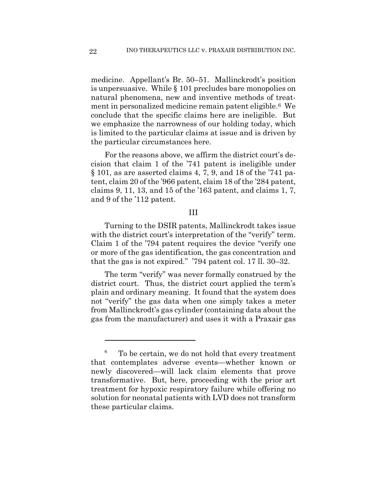medicine. Appellant's Br. 50–51. Mallinckrodt's position is unpersuasive. While § 101 precludes bare monopolies on natural phenomena, new and inventive methods of treatment in personalized medicine remain patent eligible.6 We conclude that the specific claims here are ineligible. But we emphasize the narrowness of our holding today, which is limited to the particular claims at issue and is driven by the particular circumstances here.

For the reasons above, we affirm the district court's decision that claim 1 of the '741 patent is ineligible under § 101, as are asserted claims 4, 7, 9, and 18 of the '741 patent, claim 20 of the '966 patent, claim 18 of the '284 patent, claims 9, 11, 13, and 15 of the '163 patent, and claims 1, 7, and 9 of the '112 patent.

#### III

Turning to the DSIR patents, Mallinckrodt takes issue with the district court's interpretation of the "verify" term. Claim 1 of the '794 patent requires the device "verify one or more of the gas identification, the gas concentration and that the gas is not expired." '794 patent col. 17 ll. 30–32.

The term "verify" was never formally construed by the district court. Thus, the district court applied the term's plain and ordinary meaning. It found that the system does not "verify" the gas data when one simply takes a meter from Mallinckrodt's gas cylinder (containing data about the gas from the manufacturer) and uses it with a Praxair gas

1

<sup>6</sup> To be certain, we do not hold that every treatment that contemplates adverse events—whether known or newly discovered—will lack claim elements that prove transformative. But, here, proceeding with the prior art treatment for hypoxic respiratory failure while offering no solution for neonatal patients with LVD does not transform these particular claims.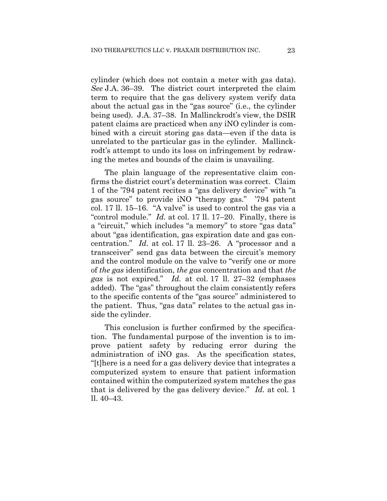cylinder (which does not contain a meter with gas data). *See* J.A. 36–39. The district court interpreted the claim term to require that the gas delivery system verify data about the actual gas in the "gas source" (i.e., the cylinder being used). J.A. 37–38. In Mallinckrodt's view, the DSIR patent claims are practiced when any iNO cylinder is combined with a circuit storing gas data—even if the data is unrelated to the particular gas in the cylinder. Mallinckrodt's attempt to undo its loss on infringement by redrawing the metes and bounds of the claim is unavailing.

The plain language of the representative claim confirms the district court's determination was correct. Claim 1 of the '794 patent recites a "gas delivery device" with "a gas source" to provide iNO "therapy gas." '794 patent col. 17 ll. 15–16. "A valve" is used to control the gas via a "control module." *Id.* at col. 17 ll. 17–20. Finally, there is a "circuit," which includes "a memory" to store "gas data" about "gas identification, gas expiration date and gas concentration." *Id.* at col. 17 ll. 23–26. A "processor and a transceiver" send gas data between the circuit's memory and the control module on the valve to "verify one or more of *the gas* identification, *the gas* concentration and that *the gas* is not expired." *Id.* at col. 17 ll. 27–32 (emphases added). The "gas" throughout the claim consistently refers to the specific contents of the "gas source" administered to the patient. Thus, "gas data" relates to the actual gas inside the cylinder.

This conclusion is further confirmed by the specification. The fundamental purpose of the invention is to improve patient safety by reducing error during the administration of iNO gas. As the specification states, "[t]here is a need for a gas delivery device that integrates a computerized system to ensure that patient information contained within the computerized system matches the gas that is delivered by the gas delivery device." *Id.* at col. 1 ll. 40–43.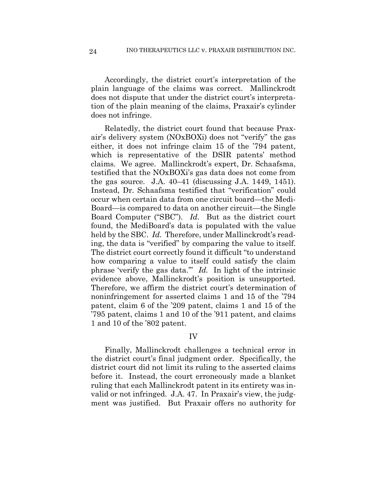Accordingly, the district court's interpretation of the plain language of the claims was correct. Mallinckrodt does not dispute that under the district court's interpretation of the plain meaning of the claims, Praxair's cylinder does not infringe.

Relatedly, the district court found that because Praxair's delivery system (NOxBOXi) does not "verify" the gas either, it does not infringe claim 15 of the '794 patent, which is representative of the DSIR patents' method claims. We agree. Mallinckrodt's expert, Dr. Schaafsma, testified that the NOxBOXi's gas data does not come from the gas source. J.A. 40–41 (discussing J.A. 1449, 1451). Instead, Dr. Schaafsma testified that "verification" could occur when certain data from one circuit board—the Medi-Board—is compared to data on another circuit—the Single Board Computer ("SBC"). *Id.* But as the district court found, the MediBoard's data is populated with the value held by the SBC. *Id.* Therefore, under Mallinckrodt's reading, the data is "verified" by comparing the value to itself. The district court correctly found it difficult "to understand how comparing a value to itself could satisfy the claim phrase 'verify the gas data.'" *Id.* In light of the intrinsic evidence above, Mallinckrodt's position is unsupported. Therefore, we affirm the district court's determination of noninfringement for asserted claims 1 and 15 of the '794 patent, claim 6 of the '209 patent, claims 1 and 15 of the '795 patent, claims 1 and 10 of the '911 patent, and claims 1 and 10 of the '802 patent.

#### IV

Finally, Mallinckrodt challenges a technical error in the district court's final judgment order. Specifically, the district court did not limit its ruling to the asserted claims before it. Instead, the court erroneously made a blanket ruling that each Mallinckrodt patent in its entirety was invalid or not infringed. J.A. 47. In Praxair's view, the judgment was justified. But Praxair offers no authority for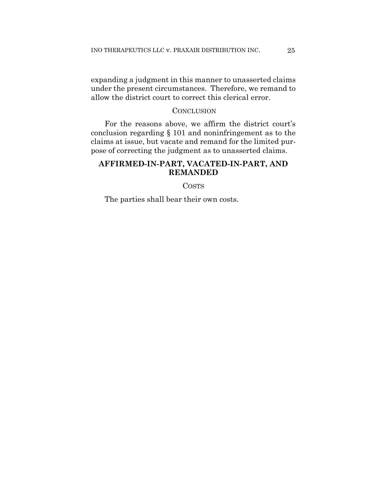expanding a judgment in this manner to unasserted claims under the present circumstances. Therefore, we remand to allow the district court to correct this clerical error.

#### **CONCLUSION**

For the reasons above, we affirm the district court's conclusion regarding § 101 and noninfringement as to the claims at issue, but vacate and remand for the limited purpose of correcting the judgment as to unasserted claims.

## **AFFIRMED-IN-PART, VACATED-IN-PART, AND REMANDED**

**COSTS** 

The parties shall bear their own costs.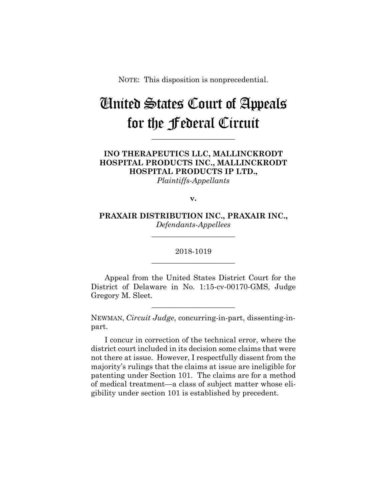NOTE: This disposition is nonprecedential.

## United States Court of Appeals for the Federal Circuit

**\_\_\_\_\_\_\_\_\_\_\_\_\_\_\_\_\_\_\_\_\_\_** 

## **INO THERAPEUTICS LLC, MALLINCKRODT HOSPITAL PRODUCTS INC., MALLINCKRODT HOSPITAL PRODUCTS IP LTD.,**

*Plaintiffs-Appellants*

**v.**

**PRAXAIR DISTRIBUTION INC., PRAXAIR INC.,** *Defendants-Appellees*

**\_\_\_\_\_\_\_\_\_\_\_\_\_\_\_\_\_\_\_\_\_\_** 

## 2018-1019 **\_\_\_\_\_\_\_\_\_\_\_\_\_\_\_\_\_\_\_\_\_\_**

Appeal from the United States District Court for the District of Delaware in No. 1:15-cv-00170-GMS, Judge Gregory M. Sleet.

**\_\_\_\_\_\_\_\_\_\_\_\_\_\_\_\_\_\_\_\_\_\_** 

NEWMAN, *Circuit Judge*, concurring-in-part, dissenting-inpart.

I concur in correction of the technical error, where the district court included in its decision some claims that were not there at issue. However, I respectfully dissent from the majority's rulings that the claims at issue are ineligible for patenting under Section 101. The claims are for a method of medical treatment—a class of subject matter whose eligibility under section 101 is established by precedent.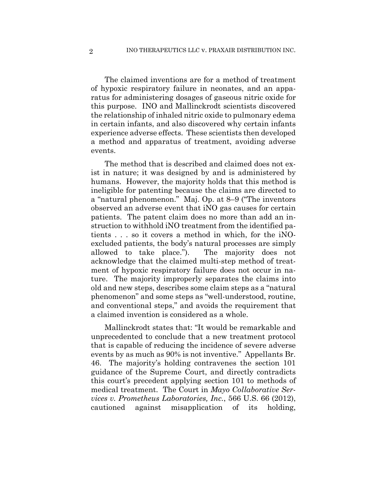The claimed inventions are for a method of treatment of hypoxic respiratory failure in neonates, and an apparatus for administering dosages of gaseous nitric oxide for this purpose. INO and Mallinckrodt scientists discovered the relationship of inhaled nitric oxide to pulmonary edema in certain infants, and also discovered why certain infants experience adverse effects. These scientists then developed a method and apparatus of treatment, avoiding adverse events.

The method that is described and claimed does not exist in nature; it was designed by and is administered by humans. However, the majority holds that this method is ineligible for patenting because the claims are directed to a "natural phenomenon." Maj. Op. at 8–9 ("The inventors observed an adverse event that iNO gas causes for certain patients. The patent claim does no more than add an instruction to withhold iNO treatment from the identified patients . . . so it covers a method in which, for the iNOexcluded patients, the body's natural processes are simply allowed to take place."). The majority does not acknowledge that the claimed multi-step method of treatment of hypoxic respiratory failure does not occur in nature. The majority improperly separates the claims into old and new steps, describes some claim steps as a "natural phenomenon" and some steps as "well-understood, routine, and conventional steps," and avoids the requirement that a claimed invention is considered as a whole.

Mallinckrodt states that: "It would be remarkable and unprecedented to conclude that a new treatment protocol that is capable of reducing the incidence of severe adverse events by as much as 90% is not inventive." Appellants Br. 46. The majority's holding contravenes the section 101 guidance of the Supreme Court, and directly contradicts this court's precedent applying section 101 to methods of medical treatment. The Court in *Mayo Collaborative Services v. Prometheus Laboratories, Inc.*, 566 U.S. 66 (2012), cautioned against misapplication of its holding,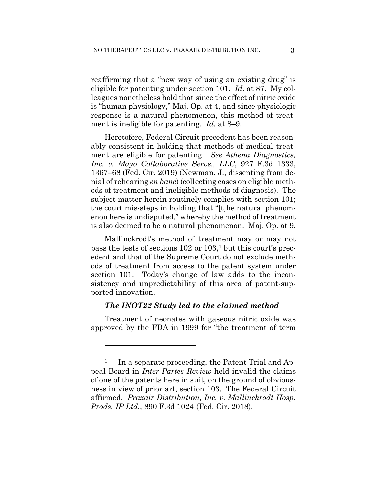reaffirming that a "new way of using an existing drug" is eligible for patenting under section 101. *Id*. at 87. My colleagues nonetheless hold that since the effect of nitric oxide is "human physiology," Maj. Op. at 4, and since physiologic response is a natural phenomenon, this method of treatment is ineligible for patenting. *Id.* at 8–9.

Heretofore, Federal Circuit precedent has been reasonably consistent in holding that methods of medical treatment are eligible for patenting. *See Athena Diagnostics, Inc. v. Mayo Collaborative Servs., LLC*, 927 F.3d 1333, 1367–68 (Fed. Cir. 2019) (Newman, J., dissenting from denial of rehearing *en banc*) (collecting cases on eligible methods of treatment and ineligible methods of diagnosis). The subject matter herein routinely complies with section 101; the court mis-steps in holding that "[t]he natural phenomenon here is undisputed," whereby the method of treatment is also deemed to be a natural phenomenon. Maj. Op. at 9.

Mallinckrodt's method of treatment may or may not pass the tests of sections 102 or 103,1 but this court's precedent and that of the Supreme Court do not exclude methods of treatment from access to the patent system under section 101. Today's change of law adds to the inconsistency and unpredictability of this area of patent-supported innovation.

#### *The INOT22 Study led to the claimed method*

Treatment of neonates with gaseous nitric oxide was approved by the FDA in 1999 for "the treatment of term

<u>.</u>

<sup>&</sup>lt;sup>1</sup> In a separate proceeding, the Patent Trial and Appeal Board in *Inter Partes Review* held invalid the claims of one of the patents here in suit, on the ground of obviousness in view of prior art, section 103. The Federal Circuit affirmed. *Praxair Distribution, Inc. v. Mallinckrodt Hosp. Prods. IP Ltd.*, 890 F.3d 1024 (Fed. Cir. 2018).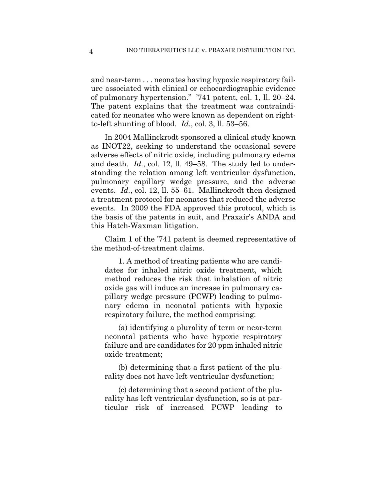and near-term . . . neonates having hypoxic respiratory failure associated with clinical or echocardiographic evidence of pulmonary hypertension." '741 patent, col. 1, ll. 20–24. The patent explains that the treatment was contraindicated for neonates who were known as dependent on rightto-left shunting of blood. *Id.*, col. 3, ll. 53–56.

In 2004 Mallinckrodt sponsored a clinical study known as INOT22, seeking to understand the occasional severe adverse effects of nitric oxide, including pulmonary edema and death. *Id.*, col. 12, ll. 49–58. The study led to understanding the relation among left ventricular dysfunction, pulmonary capillary wedge pressure, and the adverse events. *Id.*, col. 12, ll. 55–61. Mallinckrodt then designed a treatment protocol for neonates that reduced the adverse events. In 2009 the FDA approved this protocol, which is the basis of the patents in suit, and Praxair's ANDA and this Hatch-Waxman litigation.

Claim 1 of the '741 patent is deemed representative of the method-of-treatment claims.

1. A method of treating patients who are candidates for inhaled nitric oxide treatment, which method reduces the risk that inhalation of nitric oxide gas will induce an increase in pulmonary capillary wedge pressure (PCWP) leading to pulmonary edema in neonatal patients with hypoxic respiratory failure, the method comprising:

(a) identifying a plurality of term or near-term neonatal patients who have hypoxic respiratory failure and are candidates for 20 ppm inhaled nitric oxide treatment;

(b) determining that a first patient of the plurality does not have left ventricular dysfunction;

(c) determining that a second patient of the plurality has left ventricular dysfunction, so is at particular risk of increased PCWP leading to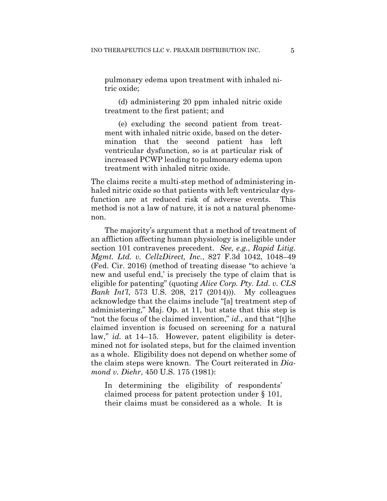pulmonary edema upon treatment with inhaled nitric oxide;

(d) administering 20 ppm inhaled nitric oxide treatment to the first patient; and

(e) excluding the second patient from treatment with inhaled nitric oxide, based on the determination that the second patient has left ventricular dysfunction, so is at particular risk of increased PCWP leading to pulmonary edema upon treatment with inhaled nitric oxide.

The claims recite a multi-step method of administering inhaled nitric oxide so that patients with left ventricular dysfunction are at reduced risk of adverse events. This method is not a law of nature, it is not a natural phenomenon.

The majority's argument that a method of treatment of an affliction affecting human physiology is ineligible under section 101 contravenes precedent. *See, e.g.*, *Rapid Litig. Mgmt. Ltd. v. CellzDirect, Inc.*, 827 F.3d 1042, 1048–49 (Fed. Cir. 2016) (method of treating disease "to achieve 'a new and useful end,' is precisely the type of claim that is eligible for patenting" (quoting *Alice Corp. Pty. Ltd. v. CLS Bank Int'l*, 573 U.S. 208, 217 (2014))). My colleagues acknowledge that the claims include "[a] treatment step of administering," Maj. Op. at 11, but state that this step is "not the focus of the claimed invention," *id.*, and that "[t]he claimed invention is focused on screening for a natural law," *id.* at 14–15. However, patent eligibility is determined not for isolated steps, but for the claimed invention as a whole. Eligibility does not depend on whether some of the claim steps were known. The Court reiterated in *Diamond v. Diehr*, 450 U.S. 175 (1981):

In determining the eligibility of respondents' claimed process for patent protection under § 101, their claims must be considered as a whole. It is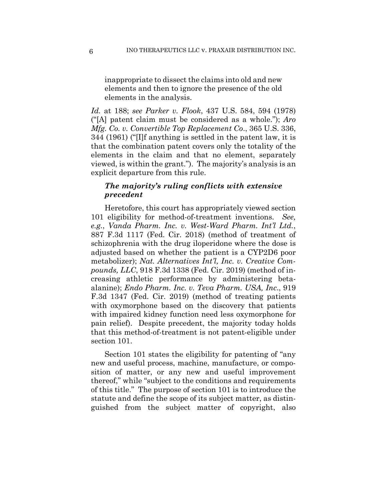inappropriate to dissect the claims into old and new elements and then to ignore the presence of the old elements in the analysis.

*Id.* at 188; *see Parker v. Flook*, 437 U.S. 584, 594 (1978) ("[A] patent claim must be considered as a whole."); *Aro Mfg. Co. v. Convertible Top Replacement Co*., 365 U.S. 336, 344 (1961) ("[I]f anything is settled in the patent law, it is that the combination patent covers only the totality of the elements in the claim and that no element, separately viewed, is within the grant."). The majority's analysis is an explicit departure from this rule.

## *The majority's ruling conflicts with extensive precedent*

Heretofore, this court has appropriately viewed section 101 eligibility for method-of-treatment inventions. *See, e.g.*, *Vanda Pharm. Inc. v. West-Ward Pharm. Int'l Ltd.*, 887 F.3d 1117 (Fed. Cir. 2018) (method of treatment of schizophrenia with the drug iloperidone where the dose is adjusted based on whether the patient is a CYP2D6 poor metabolizer); *Nat. Alternatives Int'l, Inc. v. Creative Compounds, LLC*, 918 F.3d 1338 (Fed. Cir. 2019) (method of increasing athletic performance by administering betaalanine); *Endo Pharm. Inc. v. Teva Pharm. USA, Inc*., 919 F.3d 1347 (Fed. Cir. 2019) (method of treating patients with oxymorphone based on the discovery that patients with impaired kidney function need less oxymorphone for pain relief). Despite precedent, the majority today holds that this method-of-treatment is not patent-eligible under section 101.

Section 101 states the eligibility for patenting of "any new and useful process, machine, manufacture, or composition of matter, or any new and useful improvement thereof," while "subject to the conditions and requirements of this title." The purpose of section 101 is to introduce the statute and define the scope of its subject matter, as distinguished from the subject matter of copyright, also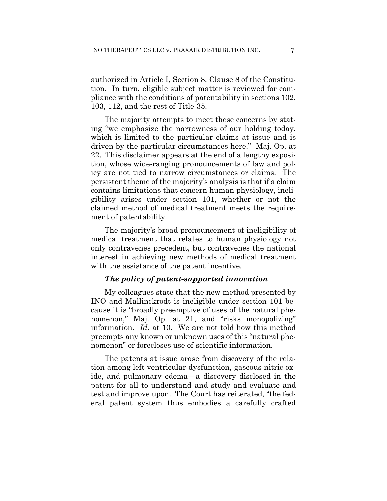authorized in Article I, Section 8, Clause 8 of the Constitution. In turn, eligible subject matter is reviewed for compliance with the conditions of patentability in sections 102, 103, 112, and the rest of Title 35.

The majority attempts to meet these concerns by stating "we emphasize the narrowness of our holding today, which is limited to the particular claims at issue and is driven by the particular circumstances here." Maj. Op. at 22. This disclaimer appears at the end of a lengthy exposition, whose wide-ranging pronouncements of law and policy are not tied to narrow circumstances or claims. The persistent theme of the majority's analysis is that if a claim contains limitations that concern human physiology, ineligibility arises under section 101, whether or not the claimed method of medical treatment meets the requirement of patentability.

The majority's broad pronouncement of ineligibility of medical treatment that relates to human physiology not only contravenes precedent, but contravenes the national interest in achieving new methods of medical treatment with the assistance of the patent incentive.

#### *The policy of patent-supported innovation*

My colleagues state that the new method presented by INO and Mallinckrodt is ineligible under section 101 because it is "broadly preemptive of uses of the natural phenomenon," Maj. Op. at 21, and "risks monopolizing" information. *Id.* at 10. We are not told how this method preempts any known or unknown uses of this "natural phenomenon" or forecloses use of scientific information.

The patents at issue arose from discovery of the relation among left ventricular dysfunction, gaseous nitric oxide, and pulmonary edema—a discovery disclosed in the patent for all to understand and study and evaluate and test and improve upon. The Court has reiterated, "the federal patent system thus embodies a carefully crafted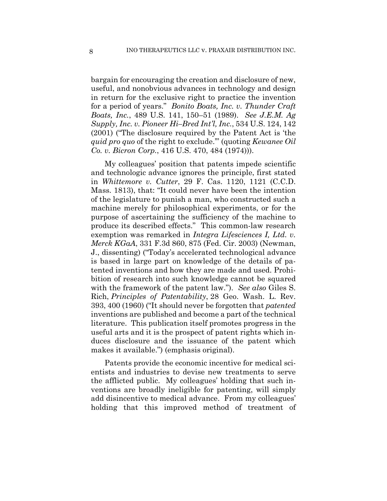bargain for encouraging the creation and disclosure of new, useful, and nonobvious advances in technology and design in return for the exclusive right to practice the invention for a period of years." *Bonito Boats, Inc. v. Thunder Craft Boats, Inc.*, 489 U.S. 141, 150–51 (1989). *See J.E.M. Ag Supply, Inc. v. Pioneer Hi–Bred Int'l, Inc.*, 534 U.S. 124, 142 (2001) ("The disclosure required by the Patent Act is 'the *quid pro quo* of the right to exclude.'" (quoting *Kewanee Oil Co. v. Bicron Corp.*, 416 U.S. 470, 484 (1974))).

My colleagues' position that patents impede scientific and technologic advance ignores the principle, first stated in *Whittemore v. Cutter*, 29 F. Cas. 1120, 1121 (C.C.D. Mass. 1813), that: "It could never have been the intention of the legislature to punish a man, who constructed such a machine merely for philosophical experiments, or for the purpose of ascertaining the sufficiency of the machine to produce its described effects." This common-law research exemption was remarked in *Integra Lifesciences I, Ltd. v. Merck KGaA*, 331 F.3d 860, 875 (Fed. Cir. 2003) (Newman, J., dissenting) ("Today's accelerated technological advance is based in large part on knowledge of the details of patented inventions and how they are made and used. Prohibition of research into such knowledge cannot be squared with the framework of the patent law."). *See also* Giles S. Rich, *Principles of Patentability*, 28 Geo. Wash. L. Rev. 393, 400 (1960) ("It should never be forgotten that *patented* inventions are published and become a part of the technical literature. This publication itself promotes progress in the useful arts and it is the prospect of patent rights which induces disclosure and the issuance of the patent which makes it available.") (emphasis original).

Patents provide the economic incentive for medical scientists and industries to devise new treatments to serve the afflicted public. My colleagues' holding that such inventions are broadly ineligible for patenting, will simply add disincentive to medical advance. From my colleagues' holding that this improved method of treatment of